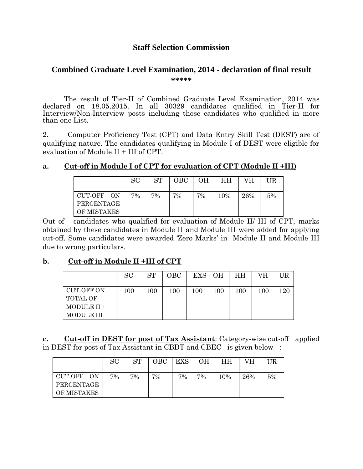# **Staff Selection Commission**

### **Combined Graduate Level Examination, 2014 - declaration of final result \*\*\*\*\***

The result of Tier-II of Combined Graduate Level Examination, 2014 was declared on 18.05.2015. In all 30329 candidates qualified in Tier-II for Interview/Non-Interview posts including those candidates who qualified in more than one List.

2. Computer Proficiency Test (CPT) and Data Entry Skill Test (DEST) are of qualifying nature. The candidates qualifying in Module I of DEST were eligible for evaluation of Module II + III of CPT.

### **a. Cut-off in Module I of CPT for evaluation of CPT (Module II +III)**

|                          | <b>SC</b> | <b>ST</b> | OBC | OН | <b>HH</b> | VH  | UR |
|--------------------------|-----------|-----------|-----|----|-----------|-----|----|
| CUT-OFF ON<br>PERCENTAGE | $7\%$     | 7%        | 7%  | 7% | 10%       | 26% | 5% |
| OF MISTAKES              |           |           |     |    |           |     |    |

Out of candidates who qualified for evaluation of Module II/ III of CPT, marks obtained by these candidates in Module II and Module III were added for applying cut-off. Some candidates were awarded 'Zero Marks' in Module II and Module III due to wrong particulars.

## **b. Cut-off in Module II +III of CPT**

|                                                                   | SC. | ST  | <b>OBC</b> | <b>EXS</b> | <b>OH</b> | HH  | VH  | UR  |
|-------------------------------------------------------------------|-----|-----|------------|------------|-----------|-----|-----|-----|
| <b>CUT-OFF ON</b><br><b>TOTAL OF</b><br>MODULE II +<br>MODULE III | 100 | 100 | 100        | $100\,$    | $100\,$   | 100 | 100 | 120 |

**c. Cut-off in DEST for post of Tax Assistant**: Category-wise cut-off applied in DEST for post of Tax Assistant in CBDT and CBEC is given below :-

|                          | <b>SC</b> | <b>ST</b> | OBC | <b>EXS</b> | OН | HН  | VН  |    |
|--------------------------|-----------|-----------|-----|------------|----|-----|-----|----|
| CUT-OFF ON<br>PERCENTAGE | 7%        | 7%        | 7%  | 7%         | 7% | 10% | 26% | 5% |
| OF MISTAKES              |           |           |     |            |    |     |     |    |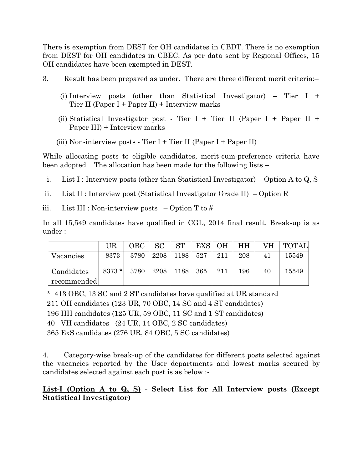There is exemption from DEST for OH candidates in CBDT. There is no exemption from DEST for OH candidates in CBEC. As per data sent by Regional Offices, 15 OH candidates have been exempted in DEST.

- 3. Result has been prepared as under. There are three different merit criteria:–
	- (i) Interview posts (other than Statistical Investigator) Tier I + Tier II (Paper I + Paper II) + Interview marks
	- (ii) Statistical Investigator post Tier I + Tier II (Paper I + Paper II + Paper III) + Interview marks
	- (iii) Non-interview posts Tier I + Tier II (Paper I + Paper II)

While allocating posts to eligible candidates, merit-cum-preference criteria have been adopted. The allocation has been made for the following lists –

- i. List I : Interview posts (other than Statistical Investigator) Option A to Q, S
- ii. List II : Interview post (Statistical Investigator Grade II) Option R
- iii. List III : Non-interview posts  $-$  Option T to #

In all 15,549 candidates have qualified in CGL, 2014 final result. Break-up is as under :-

|             | UR      | OBC. | SC   | <b>ST</b>       | <b>EXS</b> | <b>OH</b> | HН  | VН | <b>TOTAL</b> |
|-------------|---------|------|------|-----------------|------------|-----------|-----|----|--------------|
| Vacancies   | 8373    | 3780 | 2208 | 1188            | 527        | 211       | 208 | 41 | 15549        |
| Candidates  | $8373*$ | 3780 | 2208 | <sup>1188</sup> | 365        | 211       | 196 | 40 | 15549        |
| recommended |         |      |      |                 |            |           |     |    |              |

\* 413 OBC, 13 SC and 2 ST candidates have qualified at UR standard

211 OH candidates (123 UR, 70 OBC, 14 SC and 4 ST candidates)

196 HH candidates (125 UR, 59 OBC, 11 SC and 1 ST candidates)

40 VH candidates (24 UR, 14 OBC, 2 SC candidates)

365 ExS candidates (276 UR, 84 OBC, 5 SC candidates)

4. Category-wise break-up of the candidates for different posts selected against the vacancies reported by the User departments and lowest marks secured by candidates selected against each post is as below :-

## **List-I (Option A to Q, S) - Select List for All Interview posts (Except Statistical Investigator)**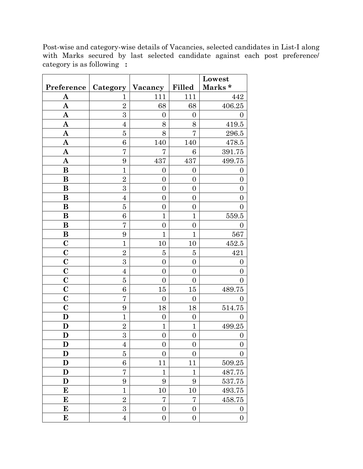|                         |                  |                  |                  | Lowest           |
|-------------------------|------------------|------------------|------------------|------------------|
| Preference              | Category         | Vacancy          | Filled           | Marks*           |
| A                       | 1                | 111              | 111              | 442              |
| A                       | $\overline{2}$   | 68               | 68               | $\!06.25$        |
| $\mathbf A$             | $\mathbf{3}$     | $\overline{0}$   | $\boldsymbol{0}$ | $\overline{0}$   |
| $\mathbf A$             | $\overline{4}$   | 8                | 8                | 419.5            |
| $\mathbf A$             | 5                | 8                | 7                | $296.5\,$        |
| $\mathbf A$             | 6                | 140              | 140              | 478.5            |
| $\mathbf A$             | 7                | 7                | 6                | 391.75           |
| $\mathbf A$             | 9                | 437              | 437              | 499.75           |
| B                       | $\mathbf{1}$     | $\boldsymbol{0}$ | $\boldsymbol{0}$ | $\boldsymbol{0}$ |
| B                       | $\overline{2}$   | $\overline{0}$   | $\boldsymbol{0}$ | $\boldsymbol{0}$ |
| B                       | $\overline{3}$   | $\overline{0}$   | $\overline{0}$   | $\overline{0}$   |
| B                       | $\overline{4}$   | $\overline{0}$   | $\overline{0}$   | $\overline{0}$   |
| B                       | $\overline{5}$   | $\overline{0}$   | $\boldsymbol{0}$ | $\overline{0}$   |
| B                       | 6                | $\mathbf{1}$     | $\mathbf{1}$     | 559.5            |
| B                       | 7                | $\overline{0}$   | $\boldsymbol{0}$ | $\boldsymbol{0}$ |
| B                       | 9                | 1                | $\overline{1}$   | 567              |
| $\mathbf C$             | $\mathbf{1}$     | 10               | 10               | 452.5            |
| $\mathbf C$             | $\overline{2}$   | 5                | 5                | 421              |
| $\overline{\mathbf{C}}$ | $\overline{3}$   | $\overline{0}$   | $\boldsymbol{0}$ | $\boldsymbol{0}$ |
| $\mathbf C$             | $\overline{4}$   | $\overline{0}$   | $\boldsymbol{0}$ | $\boldsymbol{0}$ |
| $\mathbf C$             | 5                | $\overline{0}$   | $\boldsymbol{0}$ | $\overline{0}$   |
| $\mathbf C$             | 6                | 15               | 15               | 489.75           |
| $\mathbf C$             | 7                | $\overline{0}$   | $\overline{0}$   | 0                |
| $\mathbf C$             | 9                | 18               | 18               | 514.75           |
| D                       | $\mathbf{1}$     | $\boldsymbol{0}$ | $\boldsymbol{0}$ | $\overline{0}$   |
| D                       | $\overline{2}$   | $\mathbf{1}$     | $\mathbf 1$      | 499.25           |
| $\mathbf D$             | $\overline{3}$   | $\boldsymbol{0}$ | $\boldsymbol{0}$ | $\boldsymbol{0}$ |
| D                       | $\overline{4}$   | $\boldsymbol{0}$ | $\boldsymbol{0}$ | $\boldsymbol{0}$ |
| D                       | $\overline{5}$   | $\overline{0}$   | $\overline{0}$   | $\boldsymbol{0}$ |
| D                       | 6                | 11               | 11               | $509.25\,$       |
| D                       | $\overline{7}$   | $\mathbf{1}$     | $\mathbf{1}$     | 487.75           |
| $\mathbf D$             | 9                | $\boldsymbol{9}$ | 9                | 537.75           |
| E                       | $\mathbf{1}$     | 10               | 10               | 493.75           |
| E                       | $\overline{2}$   | 7                | 7                | 458.75           |
| E                       | $\boldsymbol{3}$ | $\boldsymbol{0}$ | $\boldsymbol{0}$ | $\boldsymbol{0}$ |
| E                       | $\overline{4}$   | $\boldsymbol{0}$ | $\boldsymbol{0}$ | $\boldsymbol{0}$ |

Post-wise and category-wise details of Vacancies, selected candidates in List-I along with Marks secured by last selected candidate against each post preference/ category is as following **:**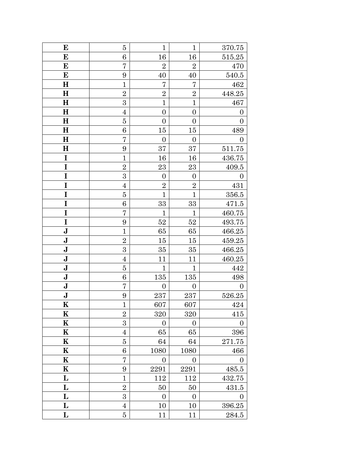| E           | 5              | $\mathbf{1}$     | $\mathbf{1}$     | 370.75           |
|-------------|----------------|------------------|------------------|------------------|
| E           | 6              | 16               | 16               | 515.25           |
| E           | 7              | $\overline{2}$   | $\overline{2}$   | 470              |
| E           | 9              | $40\,$           | 40               | 540.5            |
| $\bf H$     | $\mathbf{1}$   | 7                | 7                | 462              |
| $\mathbf H$ | $\overline{2}$ | $\overline{2}$   | $\sqrt{2}$       | 448.25           |
| $\bf H$     | $\overline{3}$ | $\overline{1}$   | $\overline{1}$   | 467              |
| H           | $\overline{4}$ | $\overline{0}$   | $\boldsymbol{0}$ | $\boldsymbol{0}$ |
| $\bf H$     | 5              | $\boldsymbol{0}$ | $\overline{0}$   | $\overline{0}$   |
| H           | $\,6$          | 15               | 15               | 489              |
| $\bf H$     | 7              | $\boldsymbol{0}$ | $\boldsymbol{0}$ | $\boldsymbol{0}$ |
| $\mathbf H$ | 9              | 37               | 37               | 511.75           |
| I           | $\overline{1}$ | 16               | 16               | 436.75           |
| I           | $\overline{2}$ | 23               | 23               | 409.5            |
| I           | 3              | $\boldsymbol{0}$ | $\boldsymbol{0}$ | $\boldsymbol{0}$ |
| I           | $\overline{4}$ | $\overline{2}$   | $\overline{2}$   | 431              |
| I           | $\overline{5}$ | $\overline{1}$   | $\overline{1}$   | 356.5            |
| I           | 6              | 33               | 33               | 471.5            |
| I           | 7              | $\overline{1}$   | $\mathbf{1}$     | 460.75           |
| I           | 9              | 52               | 52               | 493.75           |
| $\mathbf J$ | $\mathbf{1}$   | 65               | 65               | 466.25           |
| $\mathbf J$ | $\overline{2}$ | $15\,$           | $15\,$           | 459.25           |
| $\mathbf J$ | $\mathbf 3$    | 35               | 35               | 466.25           |
| $\bf J$     | $\overline{4}$ | 11               | 11               | 460.25           |
| $\mathbf J$ | $\overline{5}$ | $\overline{1}$   | $\mathbf{1}$     | 442              |
| $\mathbf J$ | 6              | 135              | 135              | 498              |
| $\bf J$     | 7              | $\boldsymbol{0}$ | $\boldsymbol{0}$ | $\overline{0}$   |
| $\mathbf J$ | 9              | 237              | 237              | 526.25           |
| $\mathbf K$ | $\mathbf{1}$   | 607              | 607              | 424              |
| K           | $\overline{2}$ | 320              | $320\,$          | 415              |
| K           | $\overline{3}$ | $\boldsymbol{0}$ | $\boldsymbol{0}$ | $\boldsymbol{0}$ |
| $\mathbf K$ | $\overline{4}$ | 65               | 65               | 396              |
| K           | $\overline{5}$ | 64               | 64               | 271.75           |
| K           | $\,6$          | 1080             | 1080             | 466              |
| K           | 7              | $\boldsymbol{0}$ | $\boldsymbol{0}$ | $\boldsymbol{0}$ |
| K           | 9              | 2291             | 2291             | 485.5            |
| L           | $\mathbf{1}$   | 112              | 112              | 432.75           |
| L           | $\overline{2}$ | 50               | 50               | 431.5            |
| L           | 3              | $\boldsymbol{0}$ | $\boldsymbol{0}$ | $\boldsymbol{0}$ |
| L           | $\overline{4}$ | 10               | 10               | 396.25           |
| L           | $\overline{5}$ | 11               | 11               | 284.5            |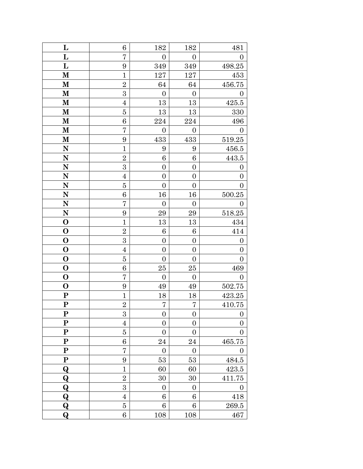| L            | 6                | 182              | 182              | 481              |
|--------------|------------------|------------------|------------------|------------------|
| L            | 7                | $\overline{0}$   | $\overline{0}$   | $\overline{0}$   |
| L            | 9                | 349              | 349              | 498.25           |
| $\mathbf{M}$ | $\mathbf{1}$     | 127              | 127              | 453              |
| M            | $\overline{2}$   | 64               | 64               | 456.75           |
| M            | 3                | $\boldsymbol{0}$ | $\boldsymbol{0}$ | $\boldsymbol{0}$ |
| M            | $\overline{4}$   | 13               | 13               | 425.5            |
| M            | $\overline{5}$   | 13               | 13               | 330              |
| $\mathbf M$  | 6                | 224              | 224              | 496              |
| $\mathbf{M}$ | 7                | $\boldsymbol{0}$ | $\boldsymbol{0}$ | $\boldsymbol{0}$ |
| $\bf M$      | 9                | 433              | 433              | 519.25           |
| N            | $\mathbf{1}$     | 9                | 9                | 456.5            |
| $\mathbf N$  | $\overline{2}$   | 6                | 6                | 443.5            |
| N            | $\overline{3}$   | $\overline{0}$   | $\boldsymbol{0}$ | $\boldsymbol{0}$ |
| N            | $\overline{4}$   | $\boldsymbol{0}$ | $\boldsymbol{0}$ | $\boldsymbol{0}$ |
| N            | $\overline{5}$   | $\boldsymbol{0}$ | $\boldsymbol{0}$ | $\boldsymbol{0}$ |
| $\mathbf N$  | 6                | 16               | 16               | 500.25           |
| $\mathbf N$  | $\overline{7}$   | $\boldsymbol{0}$ | $\boldsymbol{0}$ | $\boldsymbol{0}$ |
| ${\bf N}$    | 9                | 29               | 29               | 518.25           |
| $\mathbf 0$  | $\mathbf{1}$     | 13               | 13               | 434              |
| $\mathbf 0$  | $\overline{2}$   | 6                | 6                | 414              |
| $\mathbf 0$  | $\boldsymbol{3}$ | $\boldsymbol{0}$ | $\boldsymbol{0}$ | $\boldsymbol{0}$ |
| $\mathbf 0$  | $\overline{4}$   | $\boldsymbol{0}$ | $\boldsymbol{0}$ | $\boldsymbol{0}$ |
| $\mathbf 0$  | $\overline{5}$   | $\boldsymbol{0}$ | $\boldsymbol{0}$ | $\boldsymbol{0}$ |
| $\mathbf 0$  | 6                | 25               | 25               | 469              |
| $\mathbf O$  | 7                | $\boldsymbol{0}$ | $\boldsymbol{0}$ | $\overline{0}$   |
| $\mathbf 0$  | 9                | 49               | 49               | 502.75           |
| $\mathbf P$  | $\mathbf{1}$     | 18               | 18               | 423.25           |
| ${\bf P}$    | $\overline{2}$   | 7                | $\overline{7}$   | 410.75           |
| ${\bf P}$    | 3                | $\boldsymbol{0}$ | $\boldsymbol{0}$ | $\boldsymbol{0}$ |
| ${\bf P}$    | $\overline{4}$   | $\boldsymbol{0}$ | $\boldsymbol{0}$ | $\boldsymbol{0}$ |
| ${\bf P}$    | $\overline{5}$   | $\boldsymbol{0}$ | $\boldsymbol{0}$ | $\overline{0}$   |
| ${\bf P}$    | 6                | $\sqrt{24}$      | 24               | 465.75           |
| ${\bf P}$    | 7                | $\boldsymbol{0}$ | $\boldsymbol{0}$ | 0                |
| ${\bf P}$    | 9                | $53\,$           | 53               | 484.5            |
| Q            | $\overline{1}$   | 60               | 60               | 423.5            |
| $\bf Q$      | $\overline{2}$   | 30               | 30               | 411.75           |
| $\bf Q$      | 3                | $\overline{0}$   | $\overline{0}$   | $\overline{0}$   |
| Q            | $\overline{4}$   | 6                | 6                | 418              |
| $\bf Q$      | $\overline{5}$   | $\,6$            | $\,6$            | 269.5            |
| $\bf Q$      | 6                | 108              | 108              | 467              |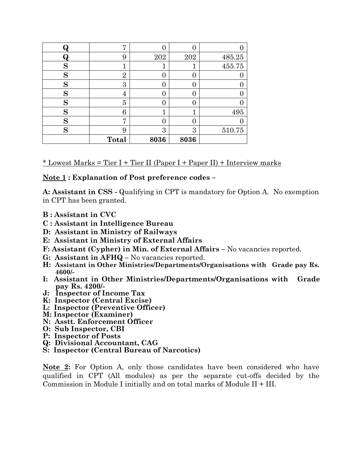| W | Η,             |      |      |        |
|---|----------------|------|------|--------|
|   | 9              | 202  | 202  | 485.25 |
| S |                | т    |      | 455.75 |
| S | $\overline{2}$ |      | 0    |        |
| S | 3              |      | 0    |        |
| S | 4              |      | 0    |        |
| S | 5              |      | 0    |        |
| S | 6              | 1    |      | 495    |
| S | Γ7             |      | 0    |        |
| S | 9              | 3    | 3    | 510.75 |
|   | Total          | 8036 | 8036 |        |

 $*$  Lowest Marks = Tier I + Tier II (Paper I + Paper II) + Interview marks

#### **Note 1 : Explanation of Post preference codes –**

**A: Assistant in CSS -** Qualifying in CPT is mandatory for Option A. No exemption in CPT has been granted.

- **B : Assistant in CVC**
- **C : Assistant in Intelligence Bureau**
- **D: Assistant in Ministry of Railways**
- **E: Assistant in Ministry of External Affairs**
- **F:** Assistant (Cypher) in Min. of External Affairs No vacancies reported.
- **G: Assistant in AFHQ –** No vacancies reported.
- **H: Assistant in Other Ministries/Departments/Organisations with Grade pay Rs. 4600/-**
- **I: Assistant in Other Ministries/Departments/Organisations with Grade pay Rs. 4200/-**
- **J: Inspector of Income Tax**
- **K: Inspector (Central Excise)**
- **L: Inspector (Preventive Officer)**
- **M: Inspector (Examiner)**
- **N: Asstt. Enforcement Officer**
- **O: Sub Inspector, CBI**
- **P: Inspector of Posts**
- **Q: Divisional Accountant, CAG**
- **S: Inspector (Central Bureau of Narcotics)**

**Note 2:** For Option A, only those candidates have been considered who have qualified in CPT (All modules) as per the separate cut-offs decided by the Commission in Module I initially and on total marks of Module II + III.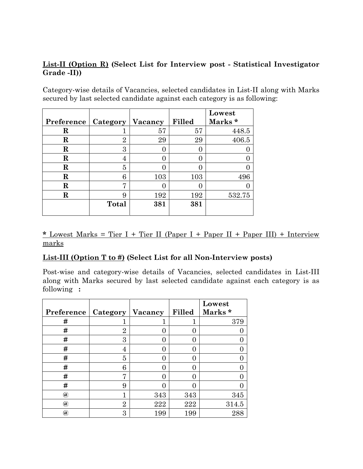# **List-II (Option R) (Select List for Interview post - Statistical Investigator Grade -II))**

Category-wise details of Vacancies, selected candidates in List-II along with Marks secured by last selected candidate against each category is as following:

|             |                |         |        | Lowest             |
|-------------|----------------|---------|--------|--------------------|
| Preference  | Category       | Vacancy | Filled | Marks <sup>*</sup> |
| R           |                | 57      | 57     | 448.5              |
| R           | $\overline{2}$ | 29      | 29     | 406.5              |
| R           | 3              |         |        |                    |
| R           | 4              |         |        |                    |
| R           | 5              |         |        |                    |
| R           | 6              | 103     | 103    | 496                |
| R           | ┍              |         |        |                    |
| $\mathbf R$ | 9              | 192     | 192    | 532.75             |
|             | <b>Total</b>   | 381     | 381    |                    |
|             |                |         |        |                    |

\* Lowest Marks = Tier I + Tier II (Paper I + Paper II + Paper III) + Interview marks

## **List-III (Option T to #) (Select List for all Non-Interview posts)**

Post-wise and category-wise details of Vacancies, selected candidates in List-III along with Marks secured by last selected candidate against each category is as following **:**

|                      |                    |     |                   | Lowest |
|----------------------|--------------------|-----|-------------------|--------|
| Preference           | Category   Vacancy |     | <b>Filled</b>     | Marks* |
| #                    |                    |     |                   | 379    |
| #                    | $\overline{2}$     | 0   | $\mathbf{\Omega}$ |        |
| #                    | 3                  | 0   | 0                 |        |
| #                    | 4                  | 0   | 0                 |        |
| #                    | 5                  | 0   |                   |        |
| #                    | 6                  | 0   |                   |        |
| #                    | 7                  | ∩   | 0                 |        |
| #                    | 9                  | 0   | 0                 |        |
| $^{\textregistered}$ |                    | 343 | 343               | 345    |
| $^{\textregistered}$ | $\overline{2}$     | 222 | 222               | 314.5  |
| $^{\textregistered}$ | 3                  | 199 | 199               | 288    |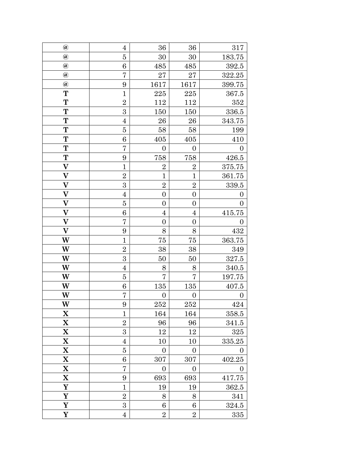| $^a\!\!\!\!a$             | $\overline{4}$ | 36               | 36               | 317              |
|---------------------------|----------------|------------------|------------------|------------------|
| $\circledR$               | $\overline{5}$ | 30               | 30               | 183.75           |
| $\circledR$               | 6              | 485              | 485              | 392.5            |
| $\circledR$               | 7              | 27               | 27               | 322.25           |
| $\circledR$               | 9              | 1617             | 1617             | 399.75           |
| T                         | $\mathbf{1}$   | 225              | 225              | 367.5            |
| T                         | $\overline{2}$ | 112              | $112\,$          | 352              |
| T                         | 3              | 150              | 150              | 336.5            |
| T                         | $\overline{4}$ | 26               | 26               | 343.75           |
| T                         | 5              | $58\,$           | 58               | 199              |
| T                         | 6              | 405              | 405              | 410              |
| T                         | 7              | $\boldsymbol{0}$ | $\boldsymbol{0}$ | $\boldsymbol{0}$ |
| T                         | 9              | 758              | 758              | 426.5            |
| $\boldsymbol{\mathrm{V}}$ | $\overline{1}$ | $\overline{2}$   | $\overline{2}$   | 375.75           |
| $\overline{\mathbf{V}}$   | $\overline{2}$ | $\mathbf{1}$     | $\mathbf{1}$     | 361.75           |
| $\boldsymbol{\mathrm{V}}$ | $\mathbf{3}$   | $\overline{2}$   | $\overline{2}$   | 339.5            |
| $\boldsymbol{\mathrm{V}}$ | $\overline{4}$ | $\boldsymbol{0}$ | $\boldsymbol{0}$ | $\boldsymbol{0}$ |
| $\overline{\mathbf{V}}$   | $\overline{5}$ | $\boldsymbol{0}$ | $\boldsymbol{0}$ | $\overline{0}$   |
| $\overline{\textbf{V}}$   | 6              | $\overline{4}$   | $\overline{4}$   | 415.75           |
| $\overline{\textbf{V}}$   | 7              | $\boldsymbol{0}$ | $\boldsymbol{0}$ | $\boldsymbol{0}$ |
| $\overline{\mathbf{V}}$   | 9              | 8                | 8                | 432              |
| W                         | $\mathbf{1}$   | 75               | 75               | 363.75           |
| W                         | $\overline{2}$ | 38               | 38               | 349              |
| W                         | $\overline{3}$ | $50\,$           | 50               | 327.5            |
| W                         | $\overline{4}$ | 8                | 8                | 340.5            |
| W                         | $\overline{5}$ | $\overline{7}$   | 7                | 197.75           |
| W                         | 6              | 135              | 135              | 407.5            |
| W                         | 7              | $\overline{0}$   | $\boldsymbol{0}$ | $\boldsymbol{0}$ |
| W                         | 9              | 252              | 252              | 424              |
| X                         | $\mathbf{1}$   | 164              | 164              | 358.5            |
| $\mathbf X$               | $\overline{2}$ | 96               | 96               | 341.5            |
| $\mathbf X$               | 3              | 12               | 12               | $325\,$          |
| X                         | $\overline{4}$ | 10               | 10               | 335.25           |
| $\mathbf X$               | $\overline{5}$ | $\boldsymbol{0}$ | $\boldsymbol{0}$ | $\boldsymbol{0}$ |
| X                         | 6              | 307              | 307              | 402.25           |
| $\mathbf X$               | 7              | $\boldsymbol{0}$ | $\boldsymbol{0}$ | $\boldsymbol{0}$ |
| $\mathbf X$               | 9              | 693              | 693              | 417.75           |
| Y                         | $\mathbf{1}$   | 19               | 19               | 362.5            |
| Y                         | $\overline{2}$ | 8                | 8                | 341              |
| Y                         | $\overline{3}$ | $\,6$            | 6                | 324.5            |
| Y                         | $\overline{4}$ | $\overline{2}$   | $\overline{2}$   | 335              |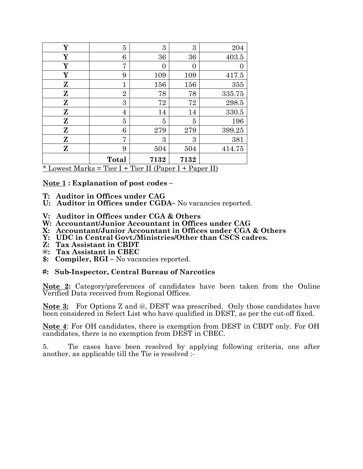| Y                                                                                                                         | 5              | 3    | 3        | 204    |
|---------------------------------------------------------------------------------------------------------------------------|----------------|------|----------|--------|
| Y                                                                                                                         | 6              | 36   | 36       | 403.5  |
| Y                                                                                                                         | 7              | 0    | $\Omega$ |        |
| Y                                                                                                                         | 9              | 109  | 109      | 417.5  |
| Z                                                                                                                         | $\mathbf{1}$   | 156  | 156      | 355    |
| Z                                                                                                                         | $\overline{2}$ | 78   | 78       | 335.75 |
| Z                                                                                                                         | 3              | 72   | 72       | 298.5  |
| Z                                                                                                                         | 4              | 14   | 14       | 330.5  |
| Z                                                                                                                         | 5              | 5    | 5        | 196    |
| Z                                                                                                                         | 6              | 279  | 279      | 399.25 |
| Z                                                                                                                         | 7              | 3    | 3        | 381    |
| Z                                                                                                                         | 9              | 504  | 504      | 414.75 |
| $*$ I consist M subsidiary $\mathbb{R}^n$ of $\mathbb{R}^n$ in $\mathbb{R}^n$ and $\mathbb{R}^n$ (Denote I in Denotes II) | Total          | 7132 | 7132     |        |

<u>\* Lowest Marks = Tier I + Tier II (Paper I + Paper II)</u>

**Note 1 : Explanation of post codes –**

- **T: Auditor in Offices under CAG**
- **U: Auditor in Offices under CGDA–** No vacancies reported.
- **V: Auditor in Offices under CGA & Others**
- **W: Accountant/Junior Accountant in Offices under CAG**
- **X: Accountant/Junior Accountant in Offices under CGA & Others**
- **Y: UDC in Central Govt./Ministries/Other than CSCS cadres.**
- **Z: Tax Assistant in CBDT**
- **@: Tax Assistant in CBEC**
- **\$: Compiler, RGI –** No vacancies reported.

#### **#: Sub-Inspector, Central Bureau of Narcotics**

**Note 2:** Category/preferences of candidates have been taken from the Online Verified Data received from Regional Offices.

**Note 3:** For Options Z and @, DEST was prescribed. Only those candidates have been considered in Select List who have qualified in DEST, as per the cut-off fixed.

**Note 4**: For OH candidates, there is exemption from DEST in CBDT only. For OH candidates, there is no exemption from DEST in CBEC.

5. Tie cases have been resolved by applying following criteria, one after another, as applicable till the Tie is resolved :-